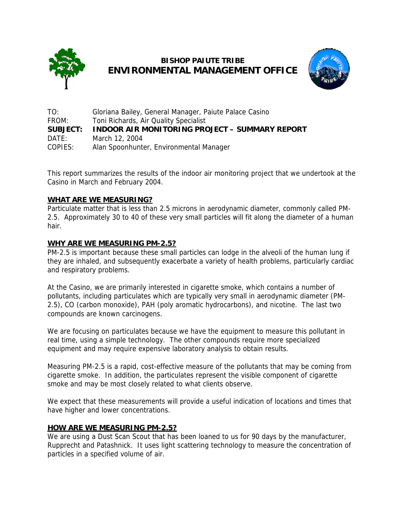

# **BISHOP PAIUTE TRIBE ENVIRONMENTAL MANAGEMENT OFFICE**



TO: Gloriana Bailey, General Manager, Paiute Palace Casino FROM: Toni Richards, Air Quality Specialist **SUBJECT: INDOOR AIR MONITORING PROJECT – SUMMARY REPORT** DATE: March 12, 2004 COPIES: Alan Spoonhunter, Environmental Manager

This report summarizes the results of the indoor air monitoring project that we undertook at the Casino in March and February 2004.

# **WHAT ARE WE MEASURING?**

Particulate matter that is less than 2.5 microns in aerodynamic diameter, commonly called PM-2.5. Approximately 30 to 40 of these very small particles will fit along the diameter of a human hair.

# **WHY ARE WE MEASURING PM-2.5?**

PM-2.5 is important because these small particles can lodge in the alveoli of the human lung if they are inhaled, and subsequently exacerbate a variety of health problems, particularly cardiac and respiratory problems.

At the Casino, we are primarily interested in cigarette smoke, which contains a number of pollutants, including particulates which are typically very small in aerodynamic diameter (PM-2.5), CO (carbon monoxide), PAH (poly aromatic hydrocarbons), and nicotine. The last two compounds are known carcinogens.

We are focusing on particulates because we have the equipment to measure this pollutant in real time, using a simple technology. The other compounds require more specialized equipment and may require expensive laboratory analysis to obtain results.

Measuring PM-2.5 is a rapid, cost-effective measure of the pollutants that may be coming from cigarette smoke. In addition, the particulates represent the visible component of cigarette smoke and may be most closely related to what clients observe.

We expect that these measurements will provide a useful indication of locations and times that have higher and lower concentrations.

## **HOW ARE WE MEASURING PM-2.5?**

We are using a Dust Scan Scout that has been loaned to us for 90 days by the manufacturer, Rupprecht and Patashnick. It uses light scattering technology to measure the concentration of particles in a specified volume of air.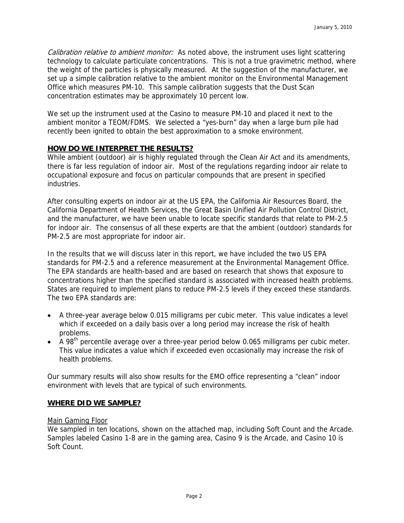Calibration relative to ambient monitor: As noted above, the instrument uses light scattering technology to calculate particulate concentrations. This is not a true gravimetric method, where the weight of the particles is physically measured. At the suggestion of the manufacturer, we set up a simple calibration relative to the ambient monitor on the Environmental Management Office which measures PM-10. This sample calibration suggests that the Dust Scan concentration estimates may be approximately 10 percent low.

We set up the instrument used at the Casino to measure PM-10 and placed it next to the ambient monitor a TEOM/FDMS. We selected a "yes-burn" day when a large burn pile had recently been ignited to obtain the best approximation to a smoke environment.

## **HOW DO WE INTERPRET THE RESULTS?**

While ambient (outdoor) air is highly regulated through the Clean Air Act and its amendments, there is far less regulation of indoor air. Most of the regulations regarding indoor air relate to occupational exposure and focus on particular compounds that are present in specified industries.

After consulting experts on indoor air at the US EPA, the California Air Resources Board, the California Department of Health Services, the Great Basin Unified Air Pollution Control District, and the manufacturer, we have been unable to locate specific standards that relate to PM-2.5 for indoor air. The consensus of all these experts are that the ambient (outdoor) standards for PM-2.5 are most appropriate for indoor air.

In the results that we will discuss later in this report, we have included the two US EPA standards for PM-2.5 and a reference measurement at the Environmental Management Office. The EPA standards are health-based and are based on research that shows that exposure to concentrations higher than the specified standard is associated with increased health problems. States are required to implement plans to reduce PM-2.5 levels if they exceed these standards. The two EPA standards are:

- A three-year average below 0.015 milligrams per cubic meter. This value indicates a level which if exceeded on a daily basis over a long period may increase the risk of health problems.
- $\bullet$  A 98<sup>th</sup> percentile average over a three-year period below 0.065 milligrams per cubic meter. This value indicates a value which if exceeded even occasionally may increase the risk of health problems.

Our summary results will also show results for the EMO office representing a "clean" indoor environment with levels that are typical of such environments.

## **WHERE DID WE SAMPLE?**

#### Main Gaming Floor

We sampled in ten locations, shown on the attached map, including Soft Count and the Arcade. Samples labeled Casino 1-8 are in the gaming area, Casino 9 is the Arcade, and Casino 10 is Soft Count.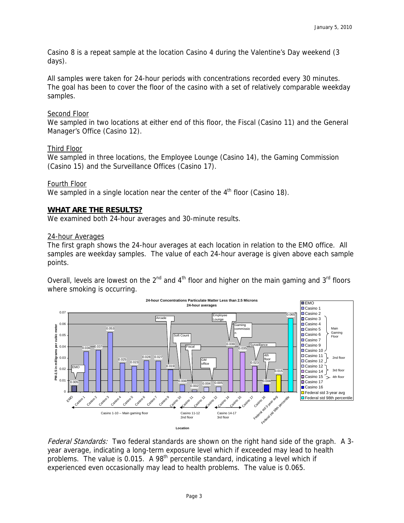Casino 8 is a repeat sample at the location Casino 4 during the Valentine's Day weekend (3 days).

All samples were taken for 24-hour periods with concentrations recorded every 30 minutes. The goal has been to cover the floor of the casino with a set of relatively comparable weekday samples.

#### Second Floor

We sampled in two locations at either end of this floor, the Fiscal (Casino 11) and the General Manager's Office (Casino 12).

### Third Floor

We sampled in three locations, the Employee Lounge (Casino 14), the Gaming Commission (Casino 15) and the Surveillance Offices (Casino 17).

### Fourth Floor

We sampled in a single location near the center of the  $4<sup>th</sup>$  floor (Casino 18).

### **WHAT ARE THE RESULTS?**

We examined both 24-hour averages and 30-minute results.

#### 24-hour Averages

The first graph shows the 24-hour averages at each location in relation to the EMO office. All samples are weekday samples. The value of each 24-hour average is given above each sample points.

Overall, levels are lowest on the  $2^{nd}$  and  $4^{th}$  floor and higher on the main gaming and  $3^{rd}$  floors where smoking is occurring.



Federal Standards: Two federal standards are shown on the right hand side of the graph. A 3year average, indicating a long-term exposure level which if exceeded may lead to health problems. The value is  $0.015$ . A  $98<sup>th</sup>$  percentile standard, indicating a level which if experienced even occasionally may lead to health problems. The value is 0.065.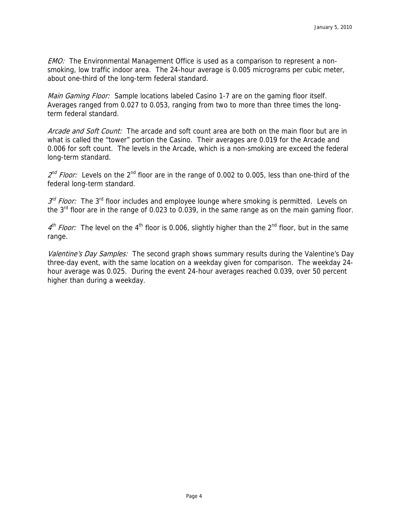EMO: The Environmental Management Office is used as a comparison to represent a nonsmoking, low traffic indoor area. The 24-hour average is 0.005 micrograms per cubic meter, about one-third of the long-term federal standard.

Main Gaming Floor: Sample locations labeled Casino 1-7 are on the gaming floor itself. Averages ranged from 0.027 to 0.053, ranging from two to more than three times the longterm federal standard.

Arcade and Soft Count: The arcade and soft count area are both on the main floor but are in what is called the "tower" portion the Casino. Their averages are 0.019 for the Arcade and 0.006 for soft count. The levels in the Arcade, which is a non-smoking are exceed the federal long-term standard.

 $2^{nd}$  Floor: Levels on the 2<sup>nd</sup> floor are in the range of 0.002 to 0.005, less than one-third of the federal long-term standard.

 $3<sup>rd</sup> Floor:$  The 3<sup>rd</sup> floor includes and employee lounge where smoking is permitted. Levels on the  $3<sup>rd</sup>$  floor are in the range of 0.023 to 0.039, in the same range as on the main gaming floor.

 $4<sup>th</sup>$  Floor: The level on the 4<sup>th</sup> floor is 0.006, slightly higher than the 2<sup>nd</sup> floor, but in the same range.

Valentine's Day Samples: The second graph shows summary results during the Valentine's Day three-day event, with the same location on a weekday given for comparison. The weekday 24 hour average was 0.025. During the event 24-hour averages reached 0.039, over 50 percent higher than during a weekday.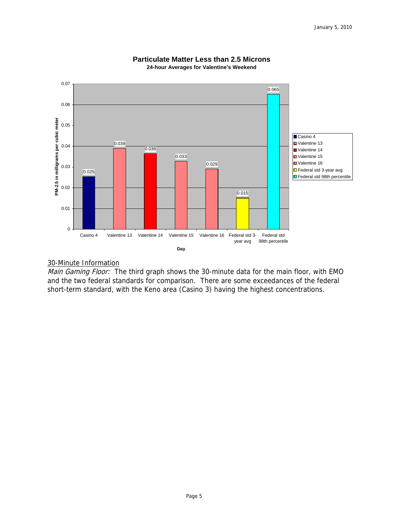

#### **Particulate Matter Less than 2.5 Microns 24-hour Averages for Valentine's Weekend**

# 30-Minute Information

Main Gaming Floor: The third graph shows the 30-minute data for the main floor, with EMO and the two federal standards for comparison. There are some exceedances of the federal short-term standard, with the Keno area (Casino 3) having the highest concentrations.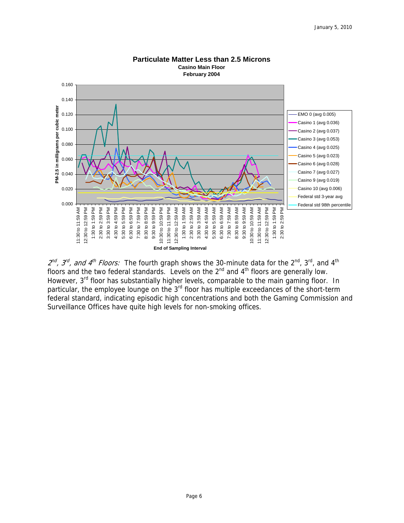

**Particulate Matter Less than 2.5 Microns Casino Main Floor**

 $2^{nd}$ ,  $3^{rd}$ , and 4<sup>th</sup> Floors: The fourth graph shows the 30-minute data for the 2<sup>nd</sup>, 3<sup>rd</sup>, and 4<sup>th</sup> floors and the two federal standards. Levels on the  $2<sup>nd</sup>$  and  $4<sup>th</sup>$  floors are generally low. However, 3<sup>rd</sup> floor has substantially higher levels, comparable to the main gaming floor. In particular, the employee lounge on the 3<sup>rd</sup> floor has multiple exceedances of the short-term federal standard, indicating episodic high concentrations and both the Gaming Commission and Surveillance Offices have quite high levels for non-smoking offices.